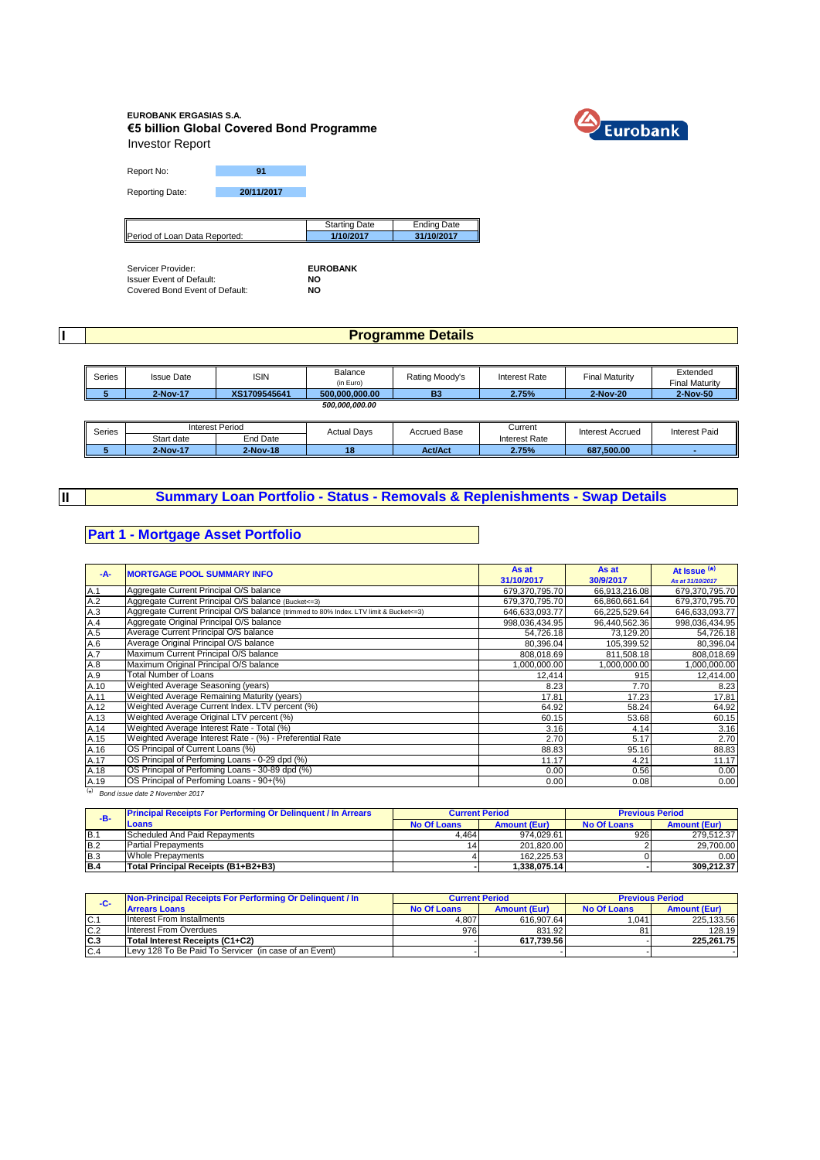#### **EUROBANK ERGASIAS S.A. €5 billion Global Covered Bond Programme** Investor Report



Report No: **91**

Reporting Date: **20/11/2017**

|                               | Starting Date | Ending Date |
|-------------------------------|---------------|-------------|
| Period of Loan Data Reported: | /10/2017      | 31/10/2017  |

Servicer Provider: **EUROBANK** Issuer Event of Default: **NO** Covered Bond Event of Default: **NO**

**I**

**II**

### **Programme Details**

| Series | <b>Issue Date</b> | <b>ISIN</b>  | Balance        | Rating Moody's | Interest Rate | <b>Final Maturity</b> | Extended              |
|--------|-------------------|--------------|----------------|----------------|---------------|-----------------------|-----------------------|
|        |                   |              | (in Euro)      |                |               |                       | <b>Final Maturity</b> |
|        | 2-Nov-17          | XS1709545641 | 500.000.000.00 | <b>B3</b>      | 2.75%         | 2-Nov-20              | 2-Nov-50              |
|        |                   |              | 500,000,000.00 |                |               |                       |                       |
|        |                   |              |                |                |               |                       |                       |

| Series |            | nterest Period | <b>Actual Davs</b> | <b>Accrued Base</b> | Current       | Interest Accrued | <b>Interest Paid</b> |
|--------|------------|----------------|--------------------|---------------------|---------------|------------------|----------------------|
|        | Start date | End Date       |                    |                     | Interest Rate |                  |                      |
|        | 2-Nov-17   | 2-Nov-18       | . .                | <b>Act/Act</b>      | 2.75%         | 687.500.00       |                      |

# **Summary Loan Portfolio - Status - Removals & Replenishments - Swap Details**

### **Part 1 - Mortgage Asset Portfolio**

| $-A-$ | <b>MORTGAGE POOL SUMMARY INFO</b>                                                       | As at<br>31/10/2017 | As at<br>30/9/2017 | At Issue $(*)$<br>As at 31/10/2017 |
|-------|-----------------------------------------------------------------------------------------|---------------------|--------------------|------------------------------------|
| A.1   | Aggregate Current Principal O/S balance                                                 | 679,370,795.70      | 66,913,216.08      | 679,370,795.70                     |
| A.2   | Aggregate Current Principal O/S balance (Bucket <= 3)                                   | 679,370,795.70      | 66,860,661.64      | 679,370,795.70                     |
| A.3   | Aggregate Current Principal O/S balance (trimmed to 80% Index. LTV limit & Bucket <= 3) | 646,633,093.77      | 66,225,529.64      | 646,633,093.77                     |
| A.4   | Aggregate Original Principal O/S balance                                                | 998,036,434.95      | 96,440,562.36      | 998,036,434.95                     |
| A.5   | Average Current Principal O/S balance                                                   | 54,726.18           | 73.129.20          | 54,726.18                          |
| A.6   | Average Original Principal O/S balance                                                  | 80,396.04           | 105,399.52         | 80,396.04                          |
| A.7   | Maximum Current Principal O/S balance                                                   | 808,018.69          | 811,508.18         | 808,018.69                         |
| A.8   | Maximum Original Principal O/S balance                                                  | ,000,000.00         | 1,000,000.00       | ,000,000.00                        |
| A.9   | <b>Total Number of Loans</b>                                                            | 12,414              | 915                | 12,414.00                          |
| A.10  | Weighted Average Seasoning (years)                                                      | 8.23                | 7.70               | 8.23                               |
| A.11  | Weighted Average Remaining Maturity (years)                                             | 17.81               | 17.23              | 17.81                              |
| A.12  | Weighted Average Current Index. LTV percent (%)                                         | 64.92               | 58.24              | 64.92                              |
| A.13  | Weighted Average Original LTV percent (%)                                               | 60.15               | 53.68              | 60.15                              |
| A.14  | Weighted Average Interest Rate - Total (%)                                              | 3.16                | 4.14               | 3.16                               |
| A.15  | Weighted Average Interest Rate - (%) - Preferential Rate                                | 2.70                | 5.17               | 2.70                               |
| A.16  | OS Principal of Current Loans (%)                                                       | 88.83               | 95.16              | 88.83                              |
| A.17  | OS Principal of Perfoming Loans - 0-29 dpd (%)                                          | 11.17               | 4.21               | 11.17                              |
| A.18  | OS Principal of Perfoming Loans - 30-89 dpd (%)                                         | 0.00                | 0.56               | 0.00                               |
| A.19  | OS Principal of Perfoming Loans - 90+(%)                                                | 0.00                | 0.08               | 0.00                               |

( \* ) *Bond issue date 2 November 2017*

| $-B-$      | <b>Principal Receipts For Performing Or Delinguent / In Arrears</b> |             | <b>Current Period</b> |             | <b>Previous Period</b> |
|------------|---------------------------------------------------------------------|-------------|-----------------------|-------------|------------------------|
|            | Loans                                                               | No Of Loans | <b>Amount (Eur)</b>   | No Of Loans | <b>Amount (Eur)</b>    |
| IB.        | Scheduled And Paid Repayments                                       | 4.464       | 974.029.61            | 926         | 279.512.37             |
| B.2        | <b>Partial Prepayments</b>                                          |             | 201.820.00            |             | 29.700.00              |
| <b>B.3</b> | Whole Prepayments                                                   |             | 162.225.53            |             | 0.00                   |
| IB.4       | Total Principal Receipts (B1+B2+B3)                                 |             | 1.338.075.14          |             | 309.212.37             |

| -C- | Non-Principal Receipts For Performing Or Delinquent / In | <b>Current Period</b> |                     | <b>Previous Period</b> |                     |
|-----|----------------------------------------------------------|-----------------------|---------------------|------------------------|---------------------|
|     | <b>Arrears Loans</b>                                     | No Of Loans           | <b>Amount (Eur)</b> | <b>No Of Loans</b>     | <b>Amount (Eur)</b> |
| IC. | Interest From Installments                               | 4.807                 | 616.907.64          | .041                   | 225.133.56          |
| C.2 | Interest From Overdues                                   | 976                   | 831.92              | 81                     | 128.19              |
| C.3 | Total Interest Receipts (C1+C2)                          |                       | 617.739.56          |                        | 225.261.75          |
| C.4 | Levy 128 To Be Paid To Servicer (in case of an Event)    |                       |                     |                        |                     |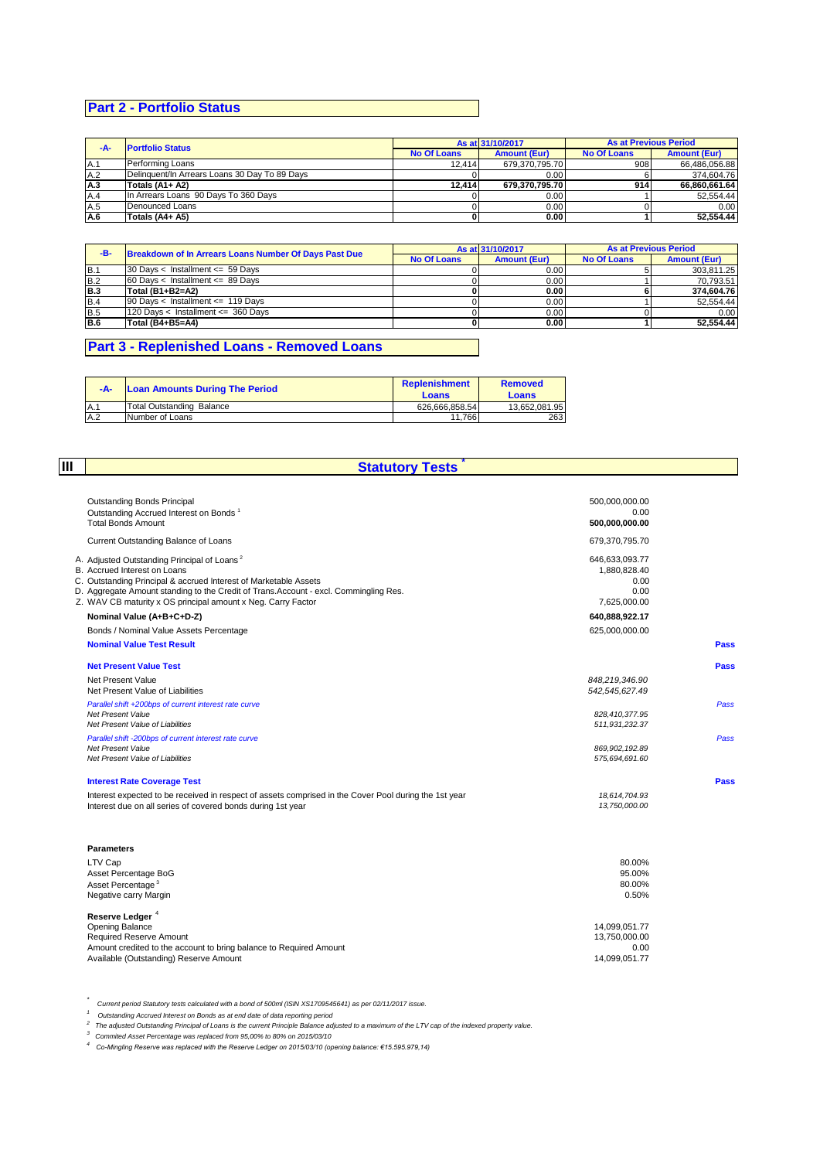# **Part 2 - Portfolio Status**

| -A- | <b>Portfolio Status</b>                       |                    | As at 31/10/2017    | <b>As at Previous Period</b> |                     |
|-----|-----------------------------------------------|--------------------|---------------------|------------------------------|---------------------|
|     |                                               | <b>No Of Loans</b> | <b>Amount (Eur)</b> | <b>No Of Loans</b>           | <b>Amount (Eur)</b> |
| A.1 | Performing Loans                              | 12.414             | 679.370.795.70      | 908                          | 66.486.056.88       |
| A.2 | Delinguent/In Arrears Loans 30 Day To 89 Days |                    | 0.00                |                              | 374.604.76          |
| A.3 | Totals (A1+ A2)                               | 12.414             | 679.370.795.70      | 914                          | 66.860.661.64       |
| A.4 | In Arrears Loans 90 Days To 360 Days          |                    | 0.00                |                              | 52.554.44           |
| A.5 | Denounced Loans                               |                    | 0.00                |                              | 0.00                |
| A.6 | Totals (A4+ A5)                               |                    | 0.00                |                              | 52.554.44           |

| -B-        | Breakdown of In Arrears Loans Number Of Days Past Due |                    | As at 31/10/2017    |                    | <b>As at Previous Period</b> |
|------------|-------------------------------------------------------|--------------------|---------------------|--------------------|------------------------------|
|            |                                                       | <b>No Of Loans</b> | <b>Amount (Eur)</b> | <b>No Of Loans</b> | <b>Amount (Eur)</b>          |
| IB.        | $30$ Davs < Installment <= 59 Davs                    |                    | 0.00                |                    | 303.811.25                   |
| B.2        | $60$ Davs < Installment <= 89 Davs                    |                    | 0.00                |                    | 70.793.51                    |
| B.3        | Total (B1+B2=A2)                                      |                    | 0.00                |                    | 374.604.76                   |
| B.4        | 90 Days < Installment <= 119 Days                     |                    | 0.00                |                    | 52.554.44                    |
| <b>B.5</b> | 120 Days < Installment <= 360 Days                    |                    | 0.00                |                    | 0.00                         |
| B.6        | Total (B4+B5=A4)                                      |                    | 0.00                |                    | 52.554.44                    |

# **Part 3 - Replenished Loans - Removed Loans**

| -A- | <b>Loan Amounts During The Period</b> | <b>Replenishment</b><br><b>Loans</b> | <b>Removed</b><br>Loans |
|-----|---------------------------------------|--------------------------------------|-------------------------|
| A.1 | Total Outstanding Balance             | 626.666.858.54                       | 13.652.081.95           |
| A.2 | Number of Loans                       | 11.766                               | 263                     |

**III**

# **Statutory Tests \***

| <b>Outstanding Bonds Principal</b><br>Outstanding Accrued Interest on Bonds <sup>1</sup>              | 500,000,000.00<br>0.00           |      |
|-------------------------------------------------------------------------------------------------------|----------------------------------|------|
| <b>Total Bonds Amount</b>                                                                             | 500,000,000.00                   |      |
| Current Outstanding Balance of Loans                                                                  | 679,370,795.70                   |      |
| A. Adjusted Outstanding Principal of Loans <sup>2</sup>                                               | 646,633,093.77                   |      |
| B. Accrued Interest on Loans<br>C. Outstanding Principal & accrued Interest of Marketable Assets      | 1,880,828.40<br>0.00             |      |
| D. Aggregate Amount standing to the Credit of Trans. Account - excl. Commingling Res.                 | 0.00                             |      |
| Z. WAV CB maturity x OS principal amount x Neg. Carry Factor                                          | 7,625,000.00                     |      |
| Nominal Value (A+B+C+D-Z)                                                                             | 640,888,922.17                   |      |
| Bonds / Nominal Value Assets Percentage                                                               | 625,000,000.00                   |      |
| <b>Nominal Value Test Result</b>                                                                      |                                  | Pass |
| <b>Net Present Value Test</b>                                                                         |                                  | Pass |
| Net Present Value                                                                                     | 848,219,346.90                   |      |
| Net Present Value of Liabilities                                                                      | 542.545.627.49                   |      |
| Parallel shift +200bps of current interest rate curve                                                 |                                  | Pass |
| Net Present Value<br>Net Present Value of Liabilities                                                 | 828,410,377.95<br>511,931,232.37 |      |
| Parallel shift -200bps of current interest rate curve                                                 |                                  | Pass |
| <b>Net Present Value</b>                                                                              | 869, 902, 192.89                 |      |
| Net Present Value of Liabilities                                                                      | 575,694,691.60                   |      |
| <b>Interest Rate Coverage Test</b>                                                                    |                                  | Pass |
| Interest expected to be received in respect of assets comprised in the Cover Pool during the 1st year | 18,614,704.93                    |      |
| Interest due on all series of covered bonds during 1st year                                           | 13,750,000.00                    |      |
| <b>Parameters</b>                                                                                     |                                  |      |
| LTV Cap                                                                                               | 80.00%                           |      |
| Asset Percentage BoG                                                                                  | 95.00%                           |      |
| Asset Percentage <sup>3</sup>                                                                         | 80.00%                           |      |
| Negative carry Margin                                                                                 | 0.50%                            |      |
| Reserve Ledger <sup>4</sup>                                                                           |                                  |      |
| Opening Balance                                                                                       | 14,099,051.77                    |      |
| <b>Required Reserve Amount</b><br>Amount credited to the account to bring balance to Required Amount  | 13,750,000.00<br>0.00            |      |
| Available (Outstanding) Reserve Amount                                                                | 14,099,051.77                    |      |
|                                                                                                       |                                  |      |

Current period Statutory tests calculated with a bond of 500ml (ISIN XS1709545641) as per 02/11/2017 issue.<br>1 Outstanding Accrued Interest on Bonds as at end date of data reporting period<br><sup>2</sup> Commited Asset Percentage was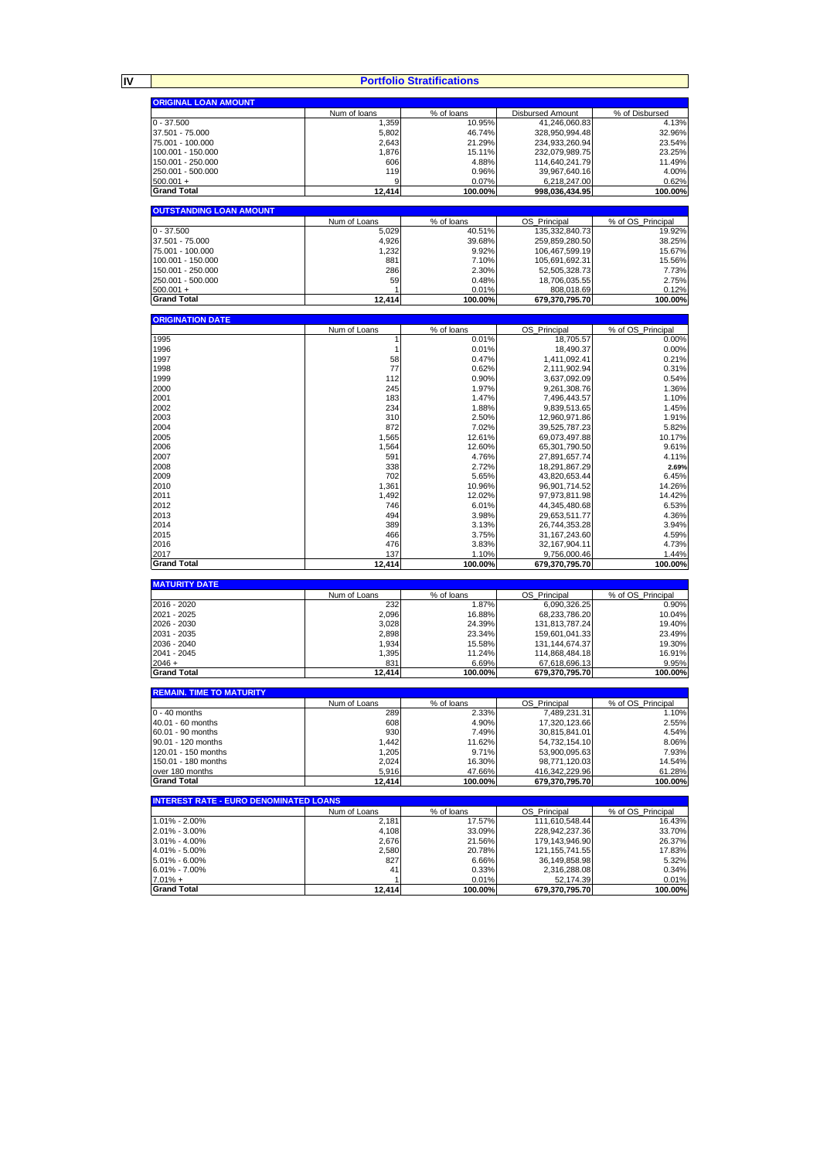| <b>ORIGINAL LOAN AMOUNT</b>                   |               |                  |                                |                   |
|-----------------------------------------------|---------------|------------------|--------------------------------|-------------------|
|                                               | Num of loans  | % of loans       | <b>Disbursed Amount</b>        | % of Disbursed    |
| $0 - 37.500$                                  | 1,359         | 10.95%           | 41,246,060.83                  | 4.13%             |
| 37.501 - 75.000                               | 5,802         | 46.74%           | 328,950,994.48                 | 32.96%            |
| 75.001 - 100.000                              | 2,643         | 21.29%           | 234,933,260.94                 | 23.54%            |
| 100.001 - 150.000                             | 1,876         | 15.11%           | 232,079,989.75                 | 23.25%            |
| 150.001 - 250.000                             | 606           | 4.88%            | 114,640,241.79                 | 11.49%            |
|                                               |               |                  |                                |                   |
| 250.001 - 500.000                             | 119           | 0.96%            | 39,967,640.16                  | 4.00%             |
| $500.001 +$                                   | 9             | 0.07%            | 6,218,247.00                   | 0.62%             |
| <b>Grand Total</b>                            | 12,414        | 100.00%          | 998,036,434.95                 | 100.00%           |
| <b>OUTSTANDING LOAN AMOUNT</b>                |               |                  |                                |                   |
|                                               | Num of Loans  | % of loans       | OS_Principal                   | % of OS_Principal |
| $0 - 37.500$                                  | 5,029         | 40.51%           | 135,332,840.73                 | 19.92%            |
| 37.501 - 75.000                               | 4,926         | 39.68%           | 259,859,280.50                 | 38.25%            |
| 75.001 - 100.000                              |               | 9.92%            | 106.467.599.19                 | 15.67%            |
|                                               | 1,232         |                  |                                |                   |
| 100.001 - 150.000                             | 881           | 7.10%            | 105,691,692.31                 | 15.56%            |
| 150.001 - 250.000                             | 286           | 2.30%            | 52,505,328.73                  | 7.73%             |
| 250.001 - 500.000                             | 59            | 0.48%            | 18,706,035.55                  | 2.75%             |
|                                               |               |                  |                                |                   |
| $500.001 +$                                   | 1             | 0.01%            | 808,018.69                     | 0.12%             |
| <b>Grand Total</b>                            | 12,414        | 100.00%          | 679,370,795.70                 | 100.00%           |
| <b>ORIGINATION DATE</b>                       |               |                  |                                |                   |
|                                               | Num of Loans  | % of loans       | OS_Principal                   | % of OS_Principal |
| 1995                                          | 1             | 0.01%            | 18,705.57                      | 0.00%             |
| 1996                                          |               | 0.01%            |                                | 0.00%             |
|                                               | 1             |                  | 18,490.37                      |                   |
| 1997                                          | 58            | 0.47%            | 1,411,092.41                   | 0.21%             |
| 1998                                          | 77            | 0.62%            | 2,111,902.94                   | 0.31%             |
| 1999                                          | 112           | 0.90%            | 3,637,092.09                   | 0.54%             |
| 2000                                          | 245           | 1.97%            | 9,261,308.76                   | 1.36%             |
|                                               |               |                  |                                |                   |
| 2001                                          | 183           | 1.47%            | 7,496,443.57                   | 1.10%             |
| 2002                                          | 234           | 1.88%            | 9,839,513.65                   | 1.45%             |
| 2003                                          | 310           | 2.50%            | 12,960,971.86                  | 1.91%             |
| 2004                                          | 872           | 7.02%            | 39,525,787.23                  | 5.82%             |
|                                               |               |                  |                                |                   |
| 2005                                          | 1,565         | 12.61%           | 69,073,497.88                  | 10.17%            |
| 2006                                          | 1,564         | 12.60%           | 65,301,790.50                  | 9.61%             |
| 2007                                          | 591           | 4.76%            | 27,891,657.74                  | 4.11%             |
| 2008                                          | 338           | 2.72%            | 18,291,867.29                  | 2.69%             |
|                                               |               |                  |                                |                   |
| 2009                                          | 702           | 5.65%            | 43,820,653.44                  | 6.45%             |
| 2010                                          | 1,361         | 10.96%           | 96,901,714.52                  | 14.26%            |
| 2011                                          | 1,492         | 12.02%           | 97,973,811.98                  | 14.42%            |
|                                               | 746           |                  |                                |                   |
| 2012                                          |               | 6.01%            | 44,345,480.68                  | 6.53%             |
| 2013                                          | 494           | 3.98%            | 29,653,511.77                  | 4.36%             |
| 2014                                          | 389           | 3.13%            | 26,744,353.28                  | 3.94%             |
| 2015                                          | 466           | 3.75%            | 31, 167, 243.60                | 4.59%             |
|                                               |               |                  |                                |                   |
| 2016                                          | 476           | 3.83%            | 32, 167, 904. 11               | 4.73%             |
| 2017<br><b>Grand Total</b>                    | 137<br>12,414 | 1.10%<br>100.00% | 9,756,000.46<br>679,370,795.70 | 1.44%<br>100.00%  |
|                                               |               |                  |                                |                   |
| <b>MATURITY DATE</b>                          |               |                  |                                |                   |
|                                               | Num of Loans  | % of loans       | OS_Principal                   | % of OS_Principal |
| 2016 - 2020                                   | 232           | 1.87%            | 6.090.326.25                   | 0.90%             |
| 2021 - 2025                                   | 2,096         | 16.88%           | 68,233,786.20                  | 10.04%            |
| 2026 - 2030                                   | 3,028         | 24.39%           | 131,813,787.24                 | 19.40%            |
| 2031 - 2035                                   | 2,898         | 23.34%           | 159,601,041.33                 | 23.49%            |
| 2036 - 2040                                   | 1,934         | 15.58%           | 131, 144, 674. 37              | 19.30%            |
|                                               |               |                  |                                |                   |
| 2041 - 2045                                   | 1,395         | 11.24%           | 114,868,484.18                 | 16.91%            |
| $2046 +$                                      | 831           | 6.69%            | 67,618,696.13                  | 9.95%             |
| <b>Grand Total</b>                            | 12,414        | 100.00%          | 679,370,795.70                 | 100.00%           |
| <b>REMAIN. TIME TO MATURITY</b>               |               |                  |                                |                   |
|                                               | Num of Loans  | % of loans       | OS Principal                   | % of OS Principal |
| $0 - 40$ months                               | 289           | 2.33%            | 7,489,231.31                   | 1.10%             |
| 40.01 - 60 months                             | 608           | 4.90%            | 17,320,123.66                  | 2.55%             |
|                                               |               |                  |                                |                   |
| 60.01 - 90 months                             | 930           | 7.49%            | 30,815,841.01                  | 4.54%             |
| 90.01 - 120 months                            | 1,442         | 11.62%           | 54,732,154.10                  | 8.06%             |
| 120.01 - 150 months                           | 1,205         | 9.71%            | 53,900,095.63                  | 7.93%             |
| 150.01 - 180 months                           | 2,024         | 16.30%           | 98,771,120.03                  | 14.54%            |
|                                               |               |                  |                                |                   |
| over 180 months                               | 5,916         | 47.66%           | 416,342,229.96                 | 61.28%            |
| <b>Grand Total</b>                            | 12,414        | 100.00%          | 679,370,795.70                 | 100.00%           |
| <b>INTEREST RATE - EURO DENOMINATED LOANS</b> |               |                  |                                |                   |
|                                               | Num of Loans  | % of loans       | OS_Principal                   | % of OS_Principal |
| 1.01% - 2.00%                                 | 2,181         | 17.57%           | 111,610,548.44                 | 16.43%            |
| 2.01% - 3.00%                                 | 4,108         | 33.09%           | 228,942,237.36                 | 33.70%            |
| 3.01% - 4.00%                                 | 2,676         | 21.56%           | 179,143,946.90                 | 26.37%            |
|                                               |               |                  |                                |                   |
| 4.01% - 5.00%                                 | 2,580         | 20.78%           | 121, 155, 741.55               | 17.83%            |
|                                               |               | 6.66%            | 36.149.858.98                  | 5.32%             |
| 5.01% - 6.00%                                 | 827           |                  |                                |                   |
|                                               |               |                  |                                |                   |
| 6.01% - 7.00%                                 | 41            | 0.33%            | 2,316,288.08                   | 0.34%             |
| $7.01% +$<br><b>Grand Total</b>               | 1<br>12,414   | 0.01%<br>100.00% | 52,174.39<br>679,370,795.70    | 0.01%<br>100.00%  |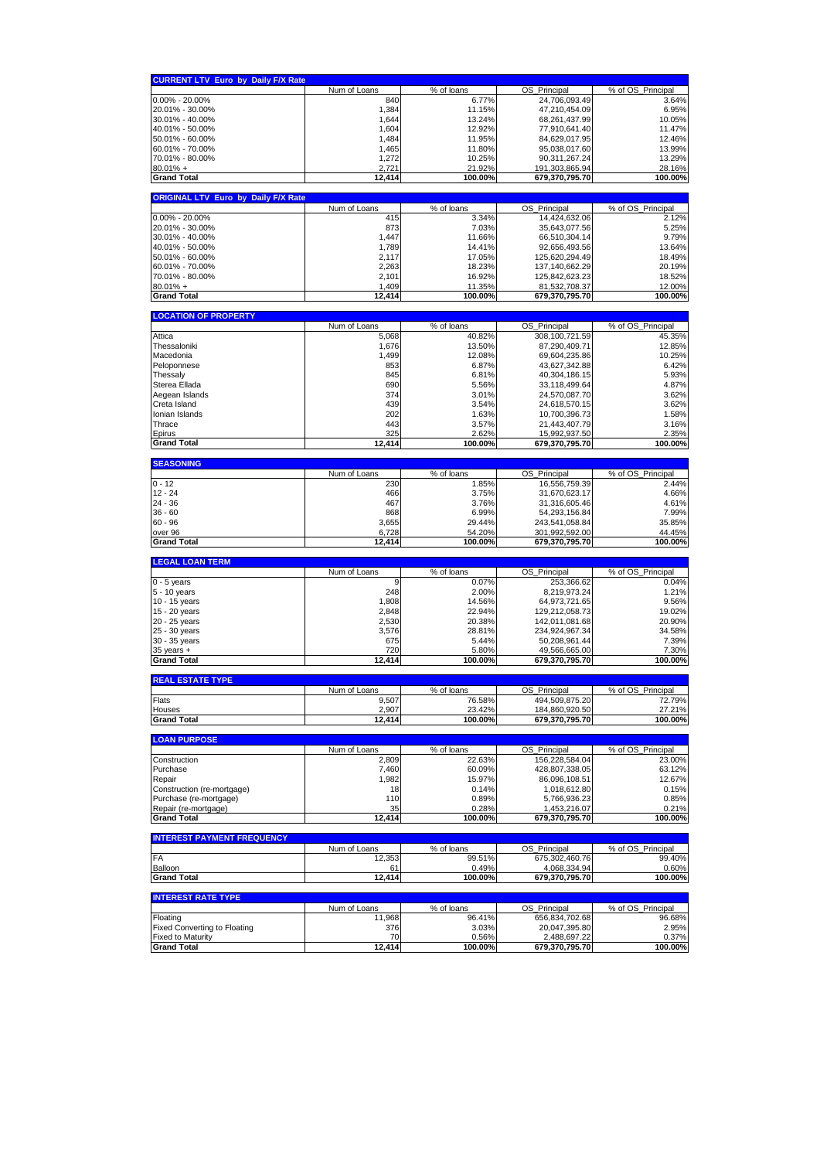|                                            | Num of Loans        | % of loans          | OS_Principal                     | % of OS Principal                                                                                                                                                                                                                                                                                                                                |
|--------------------------------------------|---------------------|---------------------|----------------------------------|--------------------------------------------------------------------------------------------------------------------------------------------------------------------------------------------------------------------------------------------------------------------------------------------------------------------------------------------------|
| $0.00\% - 20.00\%$                         | 840                 | 6.77%               | 24,706,093.49                    | 3.64%                                                                                                                                                                                                                                                                                                                                            |
| 20.01% - 30.00%                            | 1,384               | 11.15%              | 47,210,454.09                    | 6.95%                                                                                                                                                                                                                                                                                                                                            |
| 30.01% - 40.00%                            | 1,644               | 13.24%              | 68,261,437.99                    | 10.05%                                                                                                                                                                                                                                                                                                                                           |
| 40.01% - 50.00%                            | 1,604               | 12.92%              | 77,910,641.40                    | 11.47%                                                                                                                                                                                                                                                                                                                                           |
| 50.01% - 60.00%                            | 1,484               | 11.95%              | 84,629,017.95                    | 12.46%                                                                                                                                                                                                                                                                                                                                           |
| 60.01% - 70.00%                            | 1,465               | 11.80%              | 95,038,017.60                    | 13.99%                                                                                                                                                                                                                                                                                                                                           |
| 70.01% - 80.00%                            | 1,272               | 10.25%              | 90,311,267.24                    | 13.29%                                                                                                                                                                                                                                                                                                                                           |
| $80.01% +$                                 | 2,721               | 21.92%              | 191,303,865.94                   | 28.16%                                                                                                                                                                                                                                                                                                                                           |
|                                            |                     |                     |                                  |                                                                                                                                                                                                                                                                                                                                                  |
| <b>Grand Total</b>                         | 12,414              | 100.00%             | 679,370,795.70                   | 100.00%                                                                                                                                                                                                                                                                                                                                          |
| <b>ORIGINAL LTV Euro by Daily F/X Rate</b> |                     |                     |                                  |                                                                                                                                                                                                                                                                                                                                                  |
| $0.00\% - 20.00\%$                         | Num of Loans<br>415 | % of loans<br>3.34% | OS_Principal<br>14,424,632.06    | % of OS_Principal<br>2.12%                                                                                                                                                                                                                                                                                                                       |
| 20.01% - 30.00%                            | 873                 | 7.03%               | 35,643,077.56                    | 5.25%                                                                                                                                                                                                                                                                                                                                            |
| 30.01% - 40.00%                            | 1,447               | 11.66%              | 66,510,304.14                    | 9.79%                                                                                                                                                                                                                                                                                                                                            |
| 40.01% - 50.00%                            | 1,789               | 14.41%              | 92,656,493.56                    | 13.64%                                                                                                                                                                                                                                                                                                                                           |
| 50.01% - 60.00%                            | 2,117               | 17.05%              | 125,620,294.49                   | 18.49%                                                                                                                                                                                                                                                                                                                                           |
| 60.01% - 70.00%                            | 2,263               | 18.23%              | 137,140,662.29                   | 20.19%                                                                                                                                                                                                                                                                                                                                           |
| 70.01% - 80.00%                            | 2,101               | 16.92%              | 125,842,623.23                   | 18.52%                                                                                                                                                                                                                                                                                                                                           |
| $80.01% +$                                 | 1,409               | 11.35%              | 81,532,708.37                    | 12.00%                                                                                                                                                                                                                                                                                                                                           |
| <b>Grand Total</b>                         | 12,414              | 100.00%             | 679,370,795.70                   | 100.00%                                                                                                                                                                                                                                                                                                                                          |
| <b>LOCATION OF PROPERTY</b>                |                     |                     |                                  |                                                                                                                                                                                                                                                                                                                                                  |
|                                            | Num of Loans        | % of loans          | OS_Principal                     | % of OS_Principal                                                                                                                                                                                                                                                                                                                                |
| Attica                                     | 5,068               | 40.82%              | 308,100,721.59                   | 45.35%                                                                                                                                                                                                                                                                                                                                           |
| Thessaloniki                               | 1,676               | 13.50%              | 87,290,409.71                    | 12.85%                                                                                                                                                                                                                                                                                                                                           |
| Macedonia                                  | 1,499               | 12.08%              | 69,604,235.86                    | 10.25%                                                                                                                                                                                                                                                                                                                                           |
| Peloponnese                                | 853                 | 6.87%               | 43,627,342.88                    | 6.42%                                                                                                                                                                                                                                                                                                                                            |
| Thessaly                                   | 845                 | 6.81%               | 40,304,186.15                    | 5.93%                                                                                                                                                                                                                                                                                                                                            |
| Sterea Ellada                              | 690                 | 5.56%               | 33,118,499.64                    | 4.87%                                                                                                                                                                                                                                                                                                                                            |
| Aegean Islands                             | 374                 | 3.01%               | 24,570,087.70                    | 3.62%                                                                                                                                                                                                                                                                                                                                            |
| Creta Island                               | 439                 | 3.54%               | 24,618,570.15                    | 3.62%                                                                                                                                                                                                                                                                                                                                            |
| Ionian Islands                             | 202                 | 1.63%               | 10,700,396.73                    | 1.58%                                                                                                                                                                                                                                                                                                                                            |
| Thrace                                     |                     |                     | 21,443,407.79                    |                                                                                                                                                                                                                                                                                                                                                  |
|                                            | 443                 | 3.57%               |                                  | 3.16%                                                                                                                                                                                                                                                                                                                                            |
| Epirus<br><b>Grand Total</b>               | 325<br>12.414       | 2.62%<br>100.00%    | 15.992.937.50<br>679,370,795.70  | 2.35%<br>100.00%                                                                                                                                                                                                                                                                                                                                 |
|                                            |                     |                     |                                  |                                                                                                                                                                                                                                                                                                                                                  |
| <b>SEASONING</b>                           | Num of Loans        | % of loans          | OS_Principal                     | % of OS_Principal                                                                                                                                                                                                                                                                                                                                |
| $0 - 12$                                   | 230                 | 1.85%               | 16,556,759.39                    | 2.44%                                                                                                                                                                                                                                                                                                                                            |
| $12 - 24$                                  | 466                 | 3.75%               | 31,670,623.17                    | 4.66%                                                                                                                                                                                                                                                                                                                                            |
| 24 - 36                                    | 467                 | 3.76%               | 31,316,605.46                    | 4.61%                                                                                                                                                                                                                                                                                                                                            |
| $36 - 60$                                  | 868                 | 6.99%               | 54,293,156.84                    | 7.99%                                                                                                                                                                                                                                                                                                                                            |
| $60 - 96$                                  | 3,655               | 29.44%              | 243,541,058.84                   | 35.85%                                                                                                                                                                                                                                                                                                                                           |
| over 96                                    | 6,728               | 54.20%              | 301,992,592.00                   | 44.45%                                                                                                                                                                                                                                                                                                                                           |
| <b>Grand Total</b>                         | 12,414              | 100.00%             | 679,370,795.70                   | 100.00%                                                                                                                                                                                                                                                                                                                                          |
|                                            |                     |                     |                                  |                                                                                                                                                                                                                                                                                                                                                  |
| <b>LEGAL LOAN TERM</b>                     |                     |                     |                                  |                                                                                                                                                                                                                                                                                                                                                  |
|                                            | Num of Loans        | % of loans          | OS_Principal                     |                                                                                                                                                                                                                                                                                                                                                  |
| $0 - 5$ years                              | 9                   | 0.07%               | 253,366.62                       |                                                                                                                                                                                                                                                                                                                                                  |
| 5 - 10 years                               | 248                 | 2.00%               | 8,219,973.24                     |                                                                                                                                                                                                                                                                                                                                                  |
| 10 - 15 years                              | 1,808               | 14.56%              | 64,973,721.65                    |                                                                                                                                                                                                                                                                                                                                                  |
| 15 - 20 years                              | 2,848               | 22.94%              | 129,212,058.73                   |                                                                                                                                                                                                                                                                                                                                                  |
| 20 - 25 years                              | 2,530               | 20.38%              | 142,011,081.68                   |                                                                                                                                                                                                                                                                                                                                                  |
| 25 - 30 years                              | 3,576               | 28.81%              | 234,924,967.34                   |                                                                                                                                                                                                                                                                                                                                                  |
| 30 - 35 years                              | 675                 | 5.44%               | 50,208,961.44                    |                                                                                                                                                                                                                                                                                                                                                  |
| $35$ years $+$                             | 720                 | 5.80%               | 49,566,665.00                    |                                                                                                                                                                                                                                                                                                                                                  |
| <b>Grand Total</b>                         | 12,414              | 100.00%             | 679,370,795.70                   |                                                                                                                                                                                                                                                                                                                                                  |
| <b>REAL ESTATE TYPE</b>                    |                     |                     |                                  |                                                                                                                                                                                                                                                                                                                                                  |
|                                            | Num of Loans        | % of loans          | OS.<br>Princinal                 | % of $OS$                                                                                                                                                                                                                                                                                                                                        |
| Flats                                      | 9,507               | 76.58%              | 494,509,875.20                   |                                                                                                                                                                                                                                                                                                                                                  |
| Houses<br><b>Grand Total</b>               | 2,907<br>12,414     | 23.42%<br>100.00%   | 184.860.920.50<br>679,370,795.70 |                                                                                                                                                                                                                                                                                                                                                  |
|                                            |                     |                     |                                  |                                                                                                                                                                                                                                                                                                                                                  |
| <b>LOAN PURPOSE</b>                        | Num of Loans        | % of loans          | OS_Principal                     |                                                                                                                                                                                                                                                                                                                                                  |
| Construction                               | 2,809               | 22.63%              | 156,228,584.04                   |                                                                                                                                                                                                                                                                                                                                                  |
| Purchase                                   | 7,460               | 60.09%              | 428,807,338.05                   |                                                                                                                                                                                                                                                                                                                                                  |
| Repair                                     | 1,982               | 15.97%              | 86,096,108.51                    |                                                                                                                                                                                                                                                                                                                                                  |
| Construction (re-mortgage)                 | 18                  | 0.14%               | 1,018,612.80                     |                                                                                                                                                                                                                                                                                                                                                  |
| Purchase (re-mortgage)                     | 110                 | 0.89%               | 5,766,936.23                     |                                                                                                                                                                                                                                                                                                                                                  |
| Repair (re-mortgage)                       | 35                  | 0.28%               | 1,453,216.07                     |                                                                                                                                                                                                                                                                                                                                                  |
| <b>Grand Total</b>                         | 12.414              | 100.00%             | 679,370,795.70                   |                                                                                                                                                                                                                                                                                                                                                  |
| <b>INTEREST PAYMENT FREQUENCY</b>          |                     |                     |                                  |                                                                                                                                                                                                                                                                                                                                                  |
|                                            | Num of Loans        | % of loans          | OS Principal                     |                                                                                                                                                                                                                                                                                                                                                  |
| FA                                         | 12,353              | 99.51%              | 675,302,460.76                   |                                                                                                                                                                                                                                                                                                                                                  |
| Balloon<br><b>Grand Total</b>              | 61<br>12,414        | 0.49%<br>100.00%    | 4,068,334.94<br>679,370,795.70   |                                                                                                                                                                                                                                                                                                                                                  |
| <b>INTEREST RATE TYPE</b>                  |                     |                     |                                  |                                                                                                                                                                                                                                                                                                                                                  |
|                                            | Num of Loans        | % of loans          | OS_Principal                     |                                                                                                                                                                                                                                                                                                                                                  |
| Floating                                   | 11,968              | 96.41%              | 656,834,702.68                   |                                                                                                                                                                                                                                                                                                                                                  |
| <b>Fixed Converting to Floating</b>        | 376                 |                     | 20,047,395.80                    |                                                                                                                                                                                                                                                                                                                                                  |
| <b>Fixed to Maturity</b>                   | 70                  | 3.03%<br>0.56%      | 2,488,697.22                     | % of OS_Principal<br>0.04%<br>1.21%<br>9.56%<br>19.02%<br>20.90%<br>34.58%<br>7.39%<br>7.30%<br>100.00%<br>Princinal<br>72.79%<br>27.21%<br>100.00%<br>% of OS_Principal<br>23.00%<br>63.12%<br>12.67%<br>0.15%<br>0.85%<br>0.21%<br>100.00%<br>% of OS Principal<br>99.40%<br>0.60%<br>100.00%<br>% of OS_Principal<br>96.68%<br>2.95%<br>0.37% |